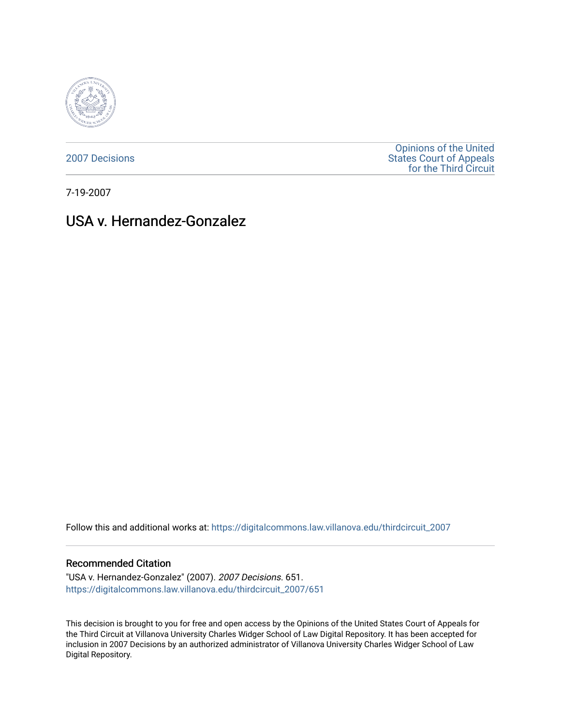

[2007 Decisions](https://digitalcommons.law.villanova.edu/thirdcircuit_2007)

[Opinions of the United](https://digitalcommons.law.villanova.edu/thirdcircuit)  [States Court of Appeals](https://digitalcommons.law.villanova.edu/thirdcircuit)  [for the Third Circuit](https://digitalcommons.law.villanova.edu/thirdcircuit) 

7-19-2007

# USA v. Hernandez-Gonzalez

Follow this and additional works at: [https://digitalcommons.law.villanova.edu/thirdcircuit\\_2007](https://digitalcommons.law.villanova.edu/thirdcircuit_2007?utm_source=digitalcommons.law.villanova.edu%2Fthirdcircuit_2007%2F651&utm_medium=PDF&utm_campaign=PDFCoverPages) 

#### Recommended Citation

"USA v. Hernandez-Gonzalez" (2007). 2007 Decisions. 651. [https://digitalcommons.law.villanova.edu/thirdcircuit\\_2007/651](https://digitalcommons.law.villanova.edu/thirdcircuit_2007/651?utm_source=digitalcommons.law.villanova.edu%2Fthirdcircuit_2007%2F651&utm_medium=PDF&utm_campaign=PDFCoverPages)

This decision is brought to you for free and open access by the Opinions of the United States Court of Appeals for the Third Circuit at Villanova University Charles Widger School of Law Digital Repository. It has been accepted for inclusion in 2007 Decisions by an authorized administrator of Villanova University Charles Widger School of Law Digital Repository.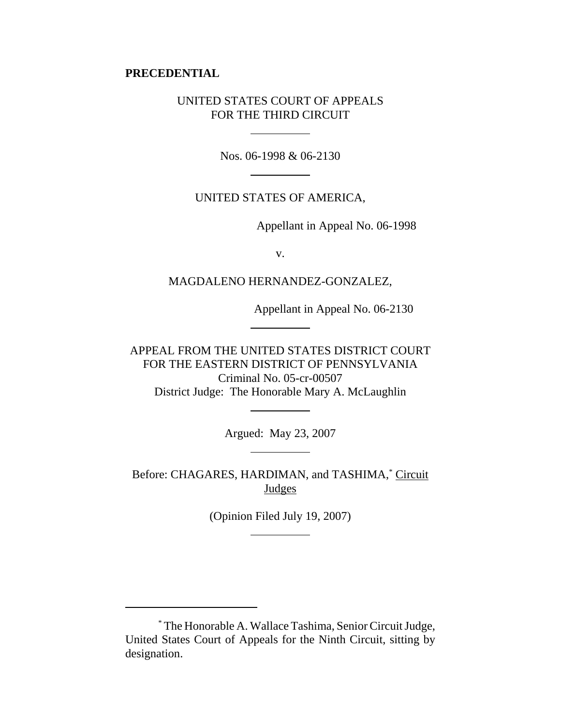## **PRECEDENTIAL**

# UNITED STATES COURT OF APPEALS FOR THE THIRD CIRCUIT

 $\overline{a}$ 

 $\overline{a}$ 

 $\overline{a}$ 

 $\overline{a}$ 

 $\overline{a}$ 

 $\overline{a}$ 

Nos. 06-1998 & 06-2130

# UNITED STATES OF AMERICA,

Appellant in Appeal No. 06-1998

v.

#### MAGDALENO HERNANDEZ-GONZALEZ,

Appellant in Appeal No. 06-2130

APPEAL FROM THE UNITED STATES DISTRICT COURT FOR THE EASTERN DISTRICT OF PENNSYLVANIA Criminal No. 05-cr-00507 District Judge: The Honorable Mary A. McLaughlin

Argued: May 23, 2007

Before: CHAGARES, HARDIMAN, and TASHIMA,\* Circuit **Judges** 

(Opinion Filed July 19, 2007)

<sup>\*</sup> The Honorable A. Wallace Tashima, Senior Circuit Judge, United States Court of Appeals for the Ninth Circuit, sitting by designation.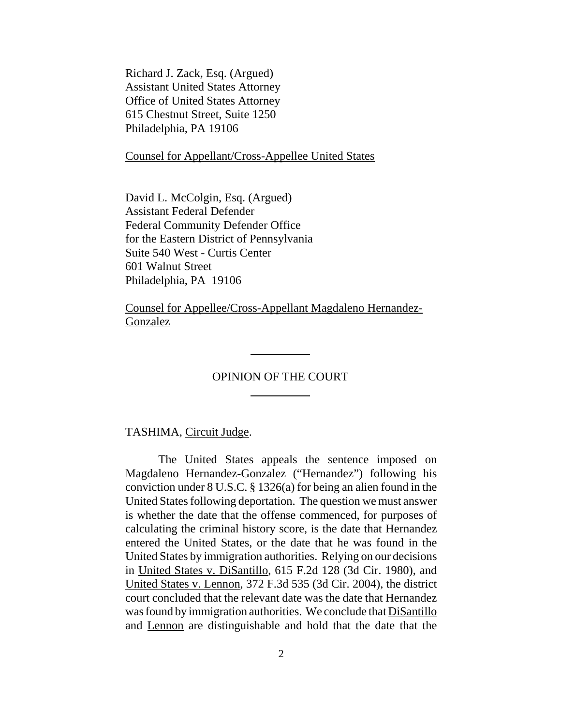Richard J. Zack, Esq. (Argued) Assistant United States Attorney Office of United States Attorney 615 Chestnut Street, Suite 1250 Philadelphia, PA 19106

Counsel for Appellant/Cross-Appellee United States

David L. McColgin, Esq. (Argued) Assistant Federal Defender Federal Community Defender Office for the Eastern District of Pennsylvania Suite 540 West - Curtis Center 601 Walnut Street Philadelphia, PA 19106

Counsel for Appellee/Cross-Appellant Magdaleno Hernandez-Gonzalez

 $\overline{\phantom{a}}$ 

 $\overline{a}$ 

## OPINION OF THE COURT

TASHIMA, Circuit Judge.

The United States appeals the sentence imposed on Magdaleno Hernandez-Gonzalez ("Hernandez") following his conviction under 8 U.S.C. § 1326(a) for being an alien found in the United States following deportation. The question we must answer is whether the date that the offense commenced, for purposes of calculating the criminal history score, is the date that Hernandez entered the United States, or the date that he was found in the United States by immigration authorities. Relying on our decisions in United States v. DiSantillo, 615 F.2d 128 (3d Cir. 1980), and United States v. Lennon, 372 F.3d 535 (3d Cir. 2004), the district court concluded that the relevant date was the date that Hernandez was found by immigration authorities. We conclude that DiSantillo and Lennon are distinguishable and hold that the date that the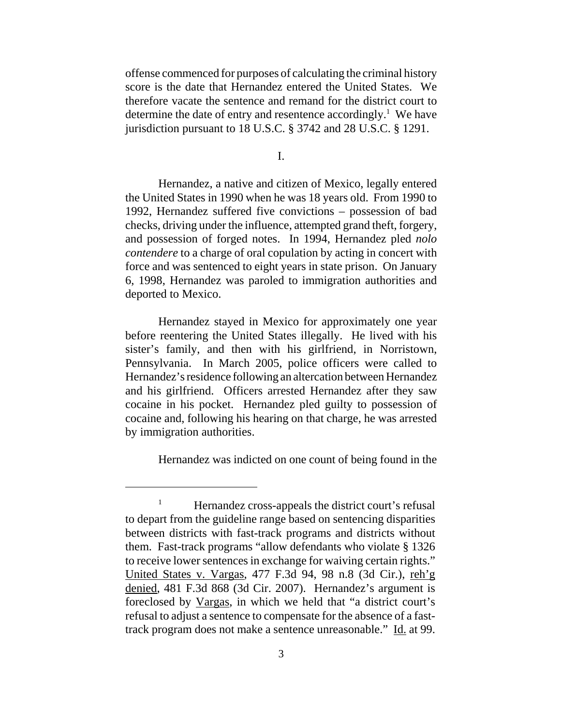offense commenced for purposes of calculating the criminal history score is the date that Hernandez entered the United States. We therefore vacate the sentence and remand for the district court to determine the date of entry and resentence accordingly.<sup>1</sup> We have jurisdiction pursuant to 18 U.S.C. § 3742 and 28 U.S.C. § 1291.

I.

Hernandez, a native and citizen of Mexico, legally entered the United States in 1990 when he was 18 years old. From 1990 to 1992, Hernandez suffered five convictions – possession of bad checks, driving under the influence, attempted grand theft, forgery, and possession of forged notes. In 1994, Hernandez pled *nolo contendere* to a charge of oral copulation by acting in concert with force and was sentenced to eight years in state prison. On January 6, 1998, Hernandez was paroled to immigration authorities and deported to Mexico.

Hernandez stayed in Mexico for approximately one year before reentering the United States illegally. He lived with his sister's family, and then with his girlfriend, in Norristown, Pennsylvania. In March 2005, police officers were called to Hernandez's residence following an altercation between Hernandez and his girlfriend. Officers arrested Hernandez after they saw cocaine in his pocket. Hernandez pled guilty to possession of cocaine and, following his hearing on that charge, he was arrested by immigration authorities.

Hernandez was indicted on one count of being found in the

<sup>&</sup>lt;sup>1</sup> Hernandez cross-appeals the district court's refusal to depart from the guideline range based on sentencing disparities between districts with fast-track programs and districts without them. Fast-track programs "allow defendants who violate § 1326 to receive lower sentences in exchange for waiving certain rights." United States v. Vargas, 477 F.3d 94, 98 n.8 (3d Cir.), reh'g denied, 481 F.3d 868 (3d Cir. 2007). Hernandez's argument is foreclosed by Vargas, in which we held that "a district court's refusal to adjust a sentence to compensate for the absence of a fasttrack program does not make a sentence unreasonable." Id. at 99.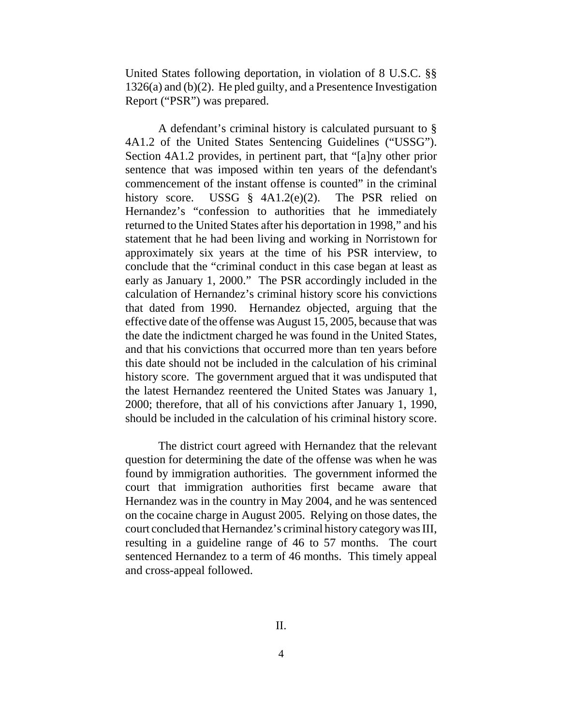United States following deportation, in violation of 8 U.S.C. §§ 1326(a) and (b)(2). He pled guilty, and a Presentence Investigation Report ("PSR") was prepared.

A defendant's criminal history is calculated pursuant to § 4A1.2 of the United States Sentencing Guidelines ("USSG"). Section 4A1.2 provides, in pertinent part, that "[a]ny other prior sentence that was imposed within ten years of the defendant's commencement of the instant offense is counted" in the criminal history score. USSG § 4A1.2(e)(2). The PSR relied on Hernandez's "confession to authorities that he immediately returned to the United States after his deportation in 1998," and his statement that he had been living and working in Norristown for approximately six years at the time of his PSR interview, to conclude that the "criminal conduct in this case began at least as early as January 1, 2000." The PSR accordingly included in the calculation of Hernandez's criminal history score his convictions that dated from 1990. Hernandez objected, arguing that the effective date of the offense was August 15, 2005, because that was the date the indictment charged he was found in the United States, and that his convictions that occurred more than ten years before this date should not be included in the calculation of his criminal history score. The government argued that it was undisputed that the latest Hernandez reentered the United States was January 1, 2000; therefore, that all of his convictions after January 1, 1990, should be included in the calculation of his criminal history score.

The district court agreed with Hernandez that the relevant question for determining the date of the offense was when he was found by immigration authorities. The government informed the court that immigration authorities first became aware that Hernandez was in the country in May 2004, and he was sentenced on the cocaine charge in August 2005. Relying on those dates, the court concluded that Hernandez's criminal history category was III, resulting in a guideline range of 46 to 57 months. The court sentenced Hernandez to a term of 46 months. This timely appeal and cross-appeal followed.

II.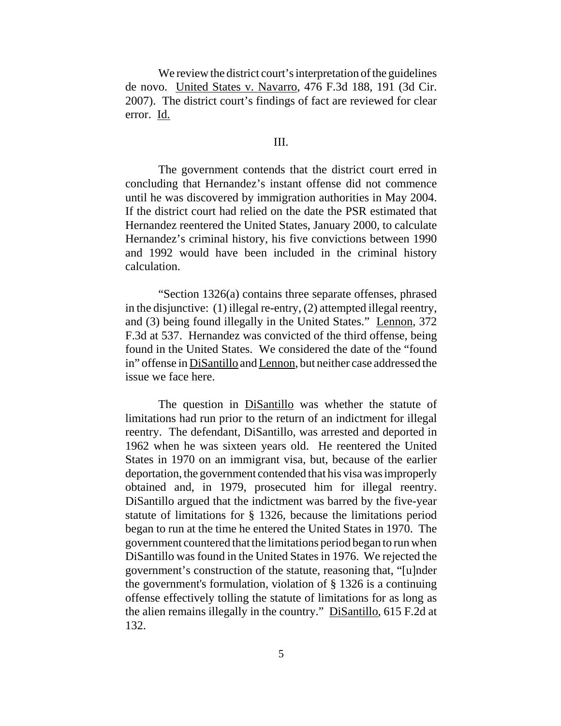We review the district court's interpretation of the guidelines de novo. United States v. Navarro, 476 F.3d 188, 191 (3d Cir. 2007). The district court's findings of fact are reviewed for clear error. Id.

#### III.

The government contends that the district court erred in concluding that Hernandez's instant offense did not commence until he was discovered by immigration authorities in May 2004. If the district court had relied on the date the PSR estimated that Hernandez reentered the United States, January 2000, to calculate Hernandez's criminal history, his five convictions between 1990 and 1992 would have been included in the criminal history calculation.

"Section 1326(a) contains three separate offenses, phrased in the disjunctive: (1) illegal re-entry, (2) attempted illegal reentry, and (3) being found illegally in the United States." Lennon, 372 F.3d at 537. Hernandez was convicted of the third offense, being found in the United States. We considered the date of the "found in" offense in DiSantillo and Lennon, but neither case addressed the issue we face here.

The question in DiSantillo was whether the statute of limitations had run prior to the return of an indictment for illegal reentry. The defendant, DiSantillo, was arrested and deported in 1962 when he was sixteen years old. He reentered the United States in 1970 on an immigrant visa, but, because of the earlier deportation, the government contended that his visa was improperly obtained and, in 1979, prosecuted him for illegal reentry. DiSantillo argued that the indictment was barred by the five-year statute of limitations for § 1326, because the limitations period began to run at the time he entered the United States in 1970. The government countered that the limitations period began to run when DiSantillo was found in the United States in 1976. We rejected the government's construction of the statute, reasoning that, "[u]nder the government's formulation, violation of § 1326 is a continuing offense effectively tolling the statute of limitations for as long as the alien remains illegally in the country." DiSantillo, 615 F.2d at 132.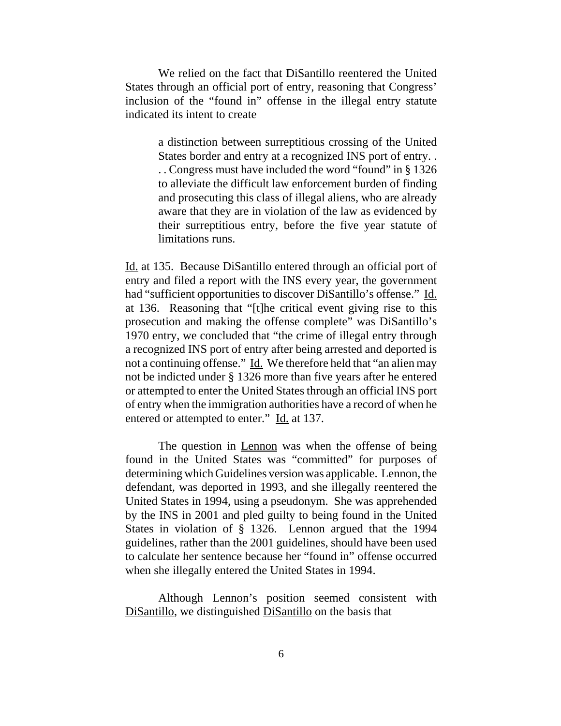We relied on the fact that DiSantillo reentered the United States through an official port of entry, reasoning that Congress' inclusion of the "found in" offense in the illegal entry statute indicated its intent to create

> a distinction between surreptitious crossing of the United States border and entry at a recognized INS port of entry. . . . Congress must have included the word "found" in § 1326 to alleviate the difficult law enforcement burden of finding and prosecuting this class of illegal aliens, who are already aware that they are in violation of the law as evidenced by their surreptitious entry, before the five year statute of limitations runs.

Id. at 135. Because DiSantillo entered through an official port of entry and filed a report with the INS every year, the government had "sufficient opportunities to discover DiSantillo's offense." Id. at 136. Reasoning that "[t]he critical event giving rise to this prosecution and making the offense complete" was DiSantillo's 1970 entry, we concluded that "the crime of illegal entry through a recognized INS port of entry after being arrested and deported is not a continuing offense." Id. We therefore held that "an alien may not be indicted under § 1326 more than five years after he entered or attempted to enter the United States through an official INS port of entry when the immigration authorities have a record of when he entered or attempted to enter." Id. at 137.

The question in Lennon was when the offense of being found in the United States was "committed" for purposes of determining which Guidelines version was applicable. Lennon, the defendant, was deported in 1993, and she illegally reentered the United States in 1994, using a pseudonym. She was apprehended by the INS in 2001 and pled guilty to being found in the United States in violation of § 1326. Lennon argued that the 1994 guidelines, rather than the 2001 guidelines, should have been used to calculate her sentence because her "found in" offense occurred when she illegally entered the United States in 1994.

Although Lennon's position seemed consistent with DiSantillo, we distinguished DiSantillo on the basis that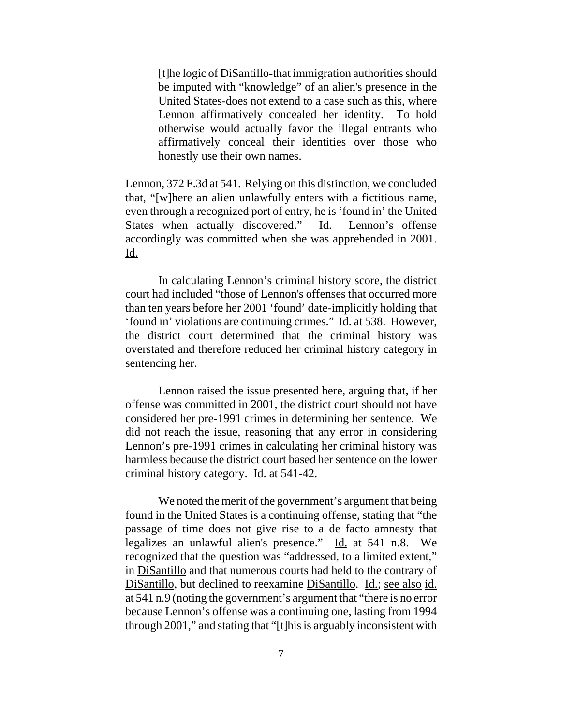[t]he logic of DiSantillo-that immigration authorities should be imputed with "knowledge" of an alien's presence in the United States-does not extend to a case such as this, where Lennon affirmatively concealed her identity. To hold otherwise would actually favor the illegal entrants who affirmatively conceal their identities over those who honestly use their own names.

Lennon, 372 F.3d at 541. Relying on this distinction, we concluded that, "[w]here an alien unlawfully enters with a fictitious name, even through a recognized port of entry, he is 'found in' the United States when actually discovered." Id. Lennon's offense accordingly was committed when she was apprehended in 2001. Id.

In calculating Lennon's criminal history score, the district court had included "those of Lennon's offenses that occurred more than ten years before her 2001 'found' date-implicitly holding that 'found in' violations are continuing crimes." Id. at 538. However, the district court determined that the criminal history was overstated and therefore reduced her criminal history category in sentencing her.

Lennon raised the issue presented here, arguing that, if her offense was committed in 2001, the district court should not have considered her pre-1991 crimes in determining her sentence. We did not reach the issue, reasoning that any error in considering Lennon's pre-1991 crimes in calculating her criminal history was harmless because the district court based her sentence on the lower criminal history category. Id. at 541-42.

We noted the merit of the government's argument that being found in the United States is a continuing offense, stating that "the passage of time does not give rise to a de facto amnesty that legalizes an unlawful alien's presence." Id. at 541 n.8. We recognized that the question was "addressed, to a limited extent," in DiSantillo and that numerous courts had held to the contrary of DiSantillo, but declined to reexamine DiSantillo. Id.; see also id. at 541 n.9 (noting the government's argument that "there is no error because Lennon's offense was a continuing one, lasting from 1994 through 2001," and stating that "[t]his is arguably inconsistent with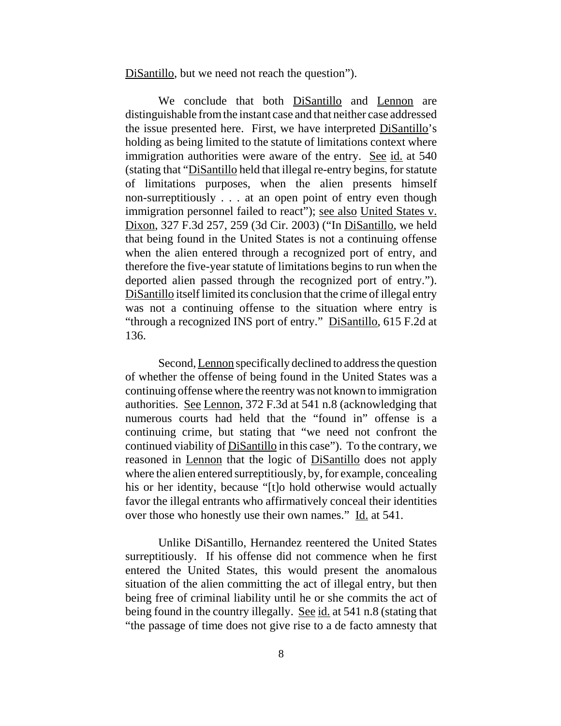DiSantillo, but we need not reach the question").

We conclude that both DiSantillo and Lennon are distinguishable from the instant case and that neither case addressed the issue presented here. First, we have interpreted DiSantillo's holding as being limited to the statute of limitations context where immigration authorities were aware of the entry. See id. at 540 (stating that "DiSantillo held that illegal re-entry begins, for statute of limitations purposes, when the alien presents himself non-surreptitiously . . . at an open point of entry even though immigration personnel failed to react"); see also United States v. Dixon, 327 F.3d 257, 259 (3d Cir. 2003) ("In DiSantillo, we held that being found in the United States is not a continuing offense when the alien entered through a recognized port of entry, and therefore the five-year statute of limitations begins to run when the deported alien passed through the recognized port of entry."). DiSantillo itself limited its conclusion that the crime of illegal entry was not a continuing offense to the situation where entry is "through a recognized INS port of entry." DiSantillo, 615 F.2d at 136.

Second, Lennon specifically declined to address the question of whether the offense of being found in the United States was a continuing offense where the reentry was not known to immigration authorities. See Lennon, 372 F.3d at 541 n.8 (acknowledging that numerous courts had held that the "found in" offense is a continuing crime, but stating that "we need not confront the continued viability of DiSantillo in this case"). To the contrary, we reasoned in Lennon that the logic of DiSantillo does not apply where the alien entered surreptitiously, by, for example, concealing his or her identity, because "[t]o hold otherwise would actually favor the illegal entrants who affirmatively conceal their identities over those who honestly use their own names." Id. at 541.

Unlike DiSantillo, Hernandez reentered the United States surreptitiously. If his offense did not commence when he first entered the United States, this would present the anomalous situation of the alien committing the act of illegal entry, but then being free of criminal liability until he or she commits the act of being found in the country illegally. See id. at 541 n.8 (stating that "the passage of time does not give rise to a de facto amnesty that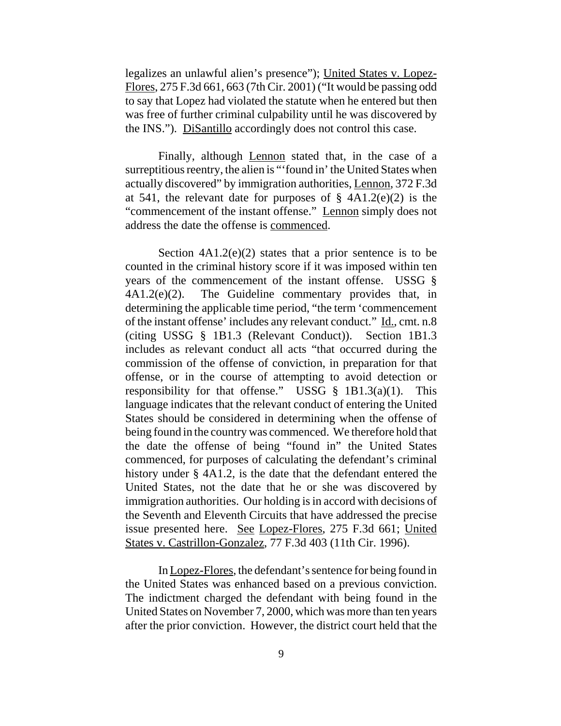legalizes an unlawful alien's presence"); United States v. Lopez-Flores, 275 F.3d 661, 663 (7th Cir. 2001) ("It would be passing odd to say that Lopez had violated the statute when he entered but then was free of further criminal culpability until he was discovered by the INS."). DiSantillo accordingly does not control this case.

Finally, although Lennon stated that, in the case of a surreptitious reentry, the alien is "'found in' the United States when actually discovered" by immigration authorities, Lennon, 372 F.3d at 541, the relevant date for purposes of  $\S$  4A1.2(e)(2) is the "commencement of the instant offense." Lennon simply does not address the date the offense is commenced.

Section  $4A1.2(e)(2)$  states that a prior sentence is to be counted in the criminal history score if it was imposed within ten years of the commencement of the instant offense. USSG § 4A1.2(e)(2). The Guideline commentary provides that, in determining the applicable time period, "the term 'commencement of the instant offense' includes any relevant conduct." Id., cmt. n.8 (citing USSG § 1B1.3 (Relevant Conduct)). Section 1B1.3 includes as relevant conduct all acts "that occurred during the commission of the offense of conviction, in preparation for that offense, or in the course of attempting to avoid detection or responsibility for that offense." USSG  $\S$  1B1.3(a)(1). This language indicates that the relevant conduct of entering the United States should be considered in determining when the offense of being found in the country was commenced. We therefore hold that the date the offense of being "found in" the United States commenced, for purposes of calculating the defendant's criminal history under § 4A1.2, is the date that the defendant entered the United States, not the date that he or she was discovered by immigration authorities. Our holding is in accord with decisions of the Seventh and Eleventh Circuits that have addressed the precise issue presented here. See Lopez-Flores, 275 F.3d 661; United States v. Castrillon-Gonzalez, 77 F.3d 403 (11th Cir. 1996).

In Lopez-Flores, the defendant's sentence for being found in the United States was enhanced based on a previous conviction. The indictment charged the defendant with being found in the United States on November 7, 2000, which was more than ten years after the prior conviction. However, the district court held that the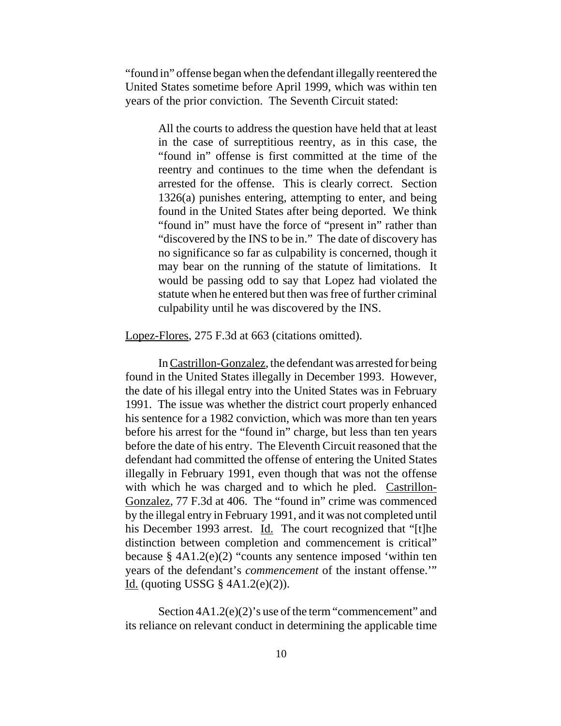"found in" offense began when the defendant illegally reentered the United States sometime before April 1999, which was within ten years of the prior conviction. The Seventh Circuit stated:

> All the courts to address the question have held that at least in the case of surreptitious reentry, as in this case, the "found in" offense is first committed at the time of the reentry and continues to the time when the defendant is arrested for the offense. This is clearly correct. Section 1326(a) punishes entering, attempting to enter, and being found in the United States after being deported. We think "found in" must have the force of "present in" rather than "discovered by the INS to be in." The date of discovery has no significance so far as culpability is concerned, though it may bear on the running of the statute of limitations. It would be passing odd to say that Lopez had violated the statute when he entered but then was free of further criminal culpability until he was discovered by the INS.

Lopez-Flores, 275 F.3d at 663 (citations omitted).

In Castrillon-Gonzalez, the defendant was arrested for being found in the United States illegally in December 1993. However, the date of his illegal entry into the United States was in February 1991. The issue was whether the district court properly enhanced his sentence for a 1982 conviction, which was more than ten years before his arrest for the "found in" charge, but less than ten years before the date of his entry. The Eleventh Circuit reasoned that the defendant had committed the offense of entering the United States illegally in February 1991, even though that was not the offense with which he was charged and to which he pled. Castrillon-Gonzalez, 77 F.3d at 406. The "found in" crime was commenced by the illegal entry in February 1991, and it was not completed until his December 1993 arrest. *Id.* The court recognized that "[t]he distinction between completion and commencement is critical" because § 4A1.2(e)(2) "counts any sentence imposed 'within ten years of the defendant's *commencement* of the instant offense.'" Id. (quoting USSG  $\S$  4A1.2(e)(2)).

Section  $4A1.2(e)(2)$ 's use of the term "commencement" and its reliance on relevant conduct in determining the applicable time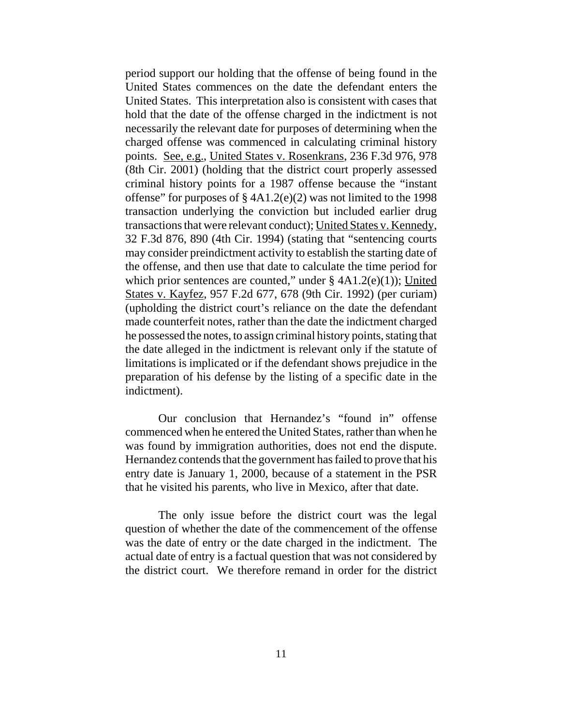period support our holding that the offense of being found in the United States commences on the date the defendant enters the United States. This interpretation also is consistent with cases that hold that the date of the offense charged in the indictment is not necessarily the relevant date for purposes of determining when the charged offense was commenced in calculating criminal history points. See, e.g., United States v. Rosenkrans, 236 F.3d 976, 978 (8th Cir. 2001) (holding that the district court properly assessed criminal history points for a 1987 offense because the "instant offense" for purposes of  $\S$  4A1.2(e)(2) was not limited to the 1998 transaction underlying the conviction but included earlier drug transactions that were relevant conduct); United States v. Kennedy, 32 F.3d 876, 890 (4th Cir. 1994) (stating that "sentencing courts may consider preindictment activity to establish the starting date of the offense, and then use that date to calculate the time period for which prior sentences are counted," under  $\S$  4A1.2(e)(1)); United States v. Kayfez, 957 F.2d 677, 678 (9th Cir. 1992) (per curiam) (upholding the district court's reliance on the date the defendant made counterfeit notes, rather than the date the indictment charged he possessed the notes, to assign criminal history points, stating that the date alleged in the indictment is relevant only if the statute of limitations is implicated or if the defendant shows prejudice in the preparation of his defense by the listing of a specific date in the indictment).

Our conclusion that Hernandez's "found in" offense commenced when he entered the United States, rather than when he was found by immigration authorities, does not end the dispute. Hernandez contends that the government has failed to prove that his entry date is January 1, 2000, because of a statement in the PSR that he visited his parents, who live in Mexico, after that date.

The only issue before the district court was the legal question of whether the date of the commencement of the offense was the date of entry or the date charged in the indictment. The actual date of entry is a factual question that was not considered by the district court. We therefore remand in order for the district